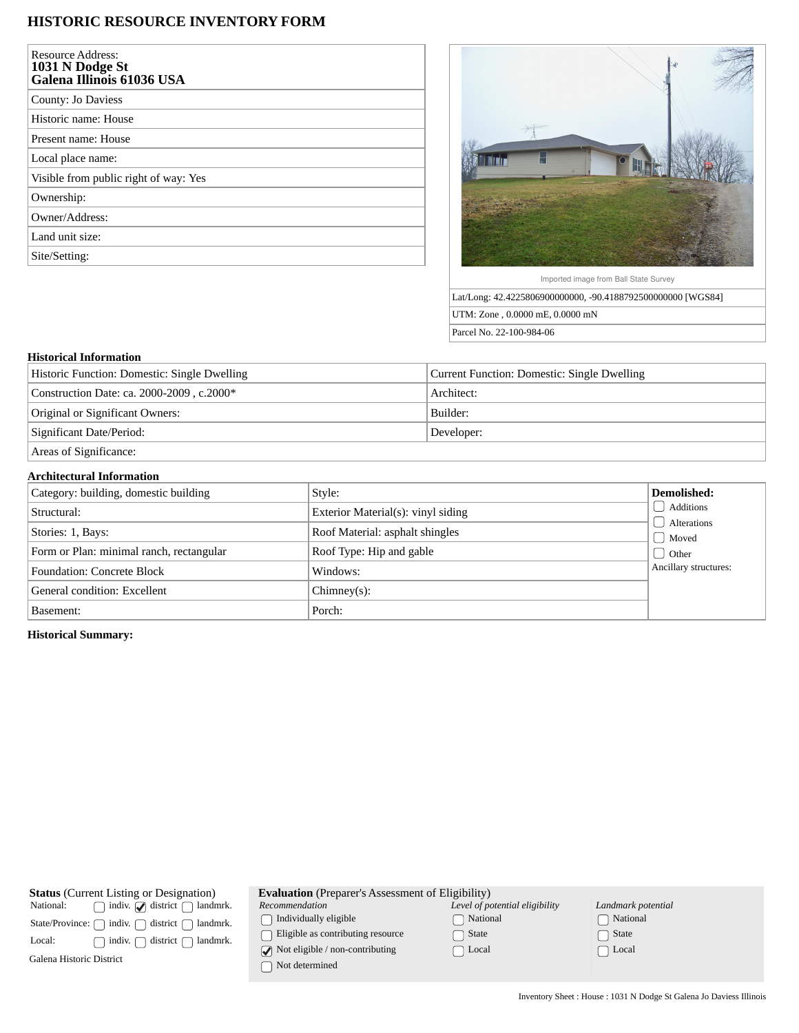## **HISTORIC RESOURCE INVENTORY FORM**

| <b>Resource Address:</b><br>1031 N Dodge St<br>Galena Illinois 61036 USA |
|--------------------------------------------------------------------------|
| County: Jo Daviess                                                       |
| Historic name: House                                                     |
| Present name: House                                                      |
| Local place name:                                                        |
| Visible from public right of way: Yes                                    |
| Ownership:                                                               |
| Owner/Address:                                                           |
| Land unit size:                                                          |
| Site/Setting:                                                            |



Imported image from Ball State Survey

Lat/Long: 42.4225806900000000, -90.4188792500000000 [WGS84] UTM: Zone , 0.0000 mE, 0.0000 mN Parcel No. 22-100-984-06

## **Historical Information**

| Historic Function: Domestic: Single Dwelling | Current Function: Domestic: Single Dwelling |  |
|----------------------------------------------|---------------------------------------------|--|
| Construction Date: ca. 2000-2009, c.2000*    | Architect:                                  |  |
| Original or Significant Owners:              | Builder:                                    |  |
| Significant Date/Period:                     | Developer:                                  |  |
| Areas of Significance:                       |                                             |  |

## **Architectural Information**

| Category: building, domestic building    | Style:                             | Demolished:           |
|------------------------------------------|------------------------------------|-----------------------|
| Structural:                              | Exterior Material(s): vinyl siding | Additions             |
| Stories: 1, Bays:                        | Roof Material: asphalt shingles    | Alterations<br>Moved  |
| Form or Plan: minimal ranch, rectangular | Roof Type: Hip and gable           | <b>Other</b>          |
| <b>Foundation: Concrete Block</b>        | Windows:                           | Ancillary structures: |
| General condition: Excellent             | $Chimney(s)$ :                     |                       |
| Basement:                                | Porch:                             |                       |

**Historical Summary:**

| <b>Evaluation</b> (Preparer's Assessment of Eligibility)<br><b>Status</b> (Current Listing or Designation)                              |  |  |  |  |  |
|-----------------------------------------------------------------------------------------------------------------------------------------|--|--|--|--|--|
| indiv. $\bigcirc$ district $\bigcap$<br>Landmark potential<br>Level of potential eligibility<br>National:<br>landmrk.<br>Recommendation |  |  |  |  |  |
| National<br>Individually eligible<br>∩ National<br>indiv.<br>district<br>landmrk.<br>State/Province: (                                  |  |  |  |  |  |
| Eligible as contributing resource<br>State<br>State<br>district<br>landmrk.<br>Local:<br>indiv.                                         |  |  |  |  |  |
| $\sqrt{\phantom{a}}$ Not eligible / non-contributing<br>  Local<br>∩ Local<br>Galena Historic District<br>Not determined                |  |  |  |  |  |